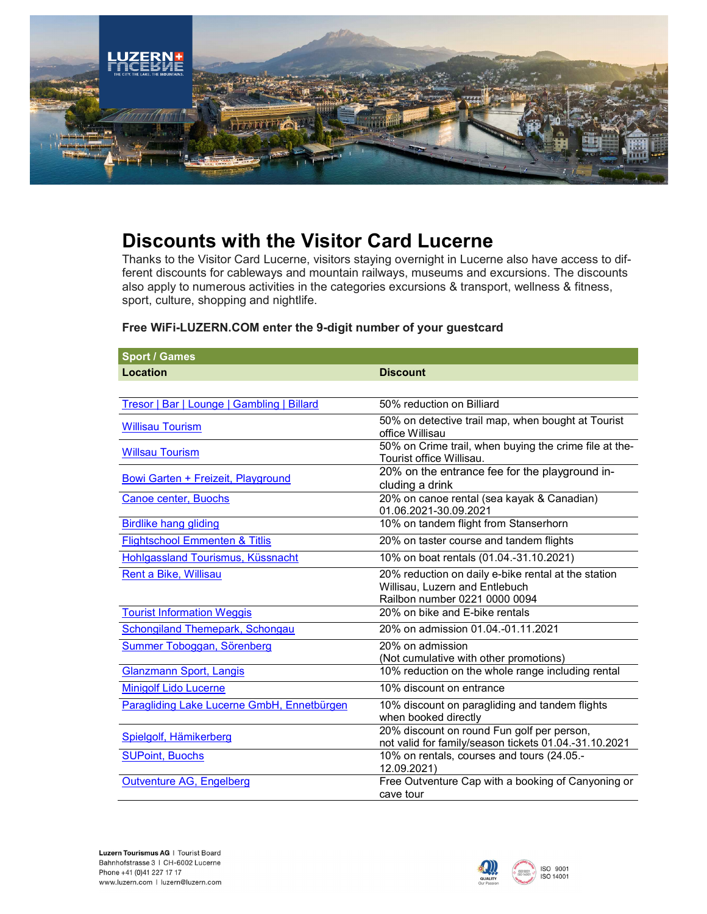

## Discounts with the Visitor Card Lucerne

Thanks to the Visitor Card Lucerne, visitors staying overnight in Lucerne also have access to different discounts for cableways and mountain railways, museums and excursions. The discounts also apply to numerous activities in the categories excursions & transport, wellness & fitness, sport, culture, shopping and nightlife.

| <b>Sport / Games</b>                       |                                                                                                                        |
|--------------------------------------------|------------------------------------------------------------------------------------------------------------------------|
| Location                                   | <b>Discount</b>                                                                                                        |
|                                            |                                                                                                                        |
| Tresor   Bar   Lounge   Gambling   Billard | 50% reduction on Billiard                                                                                              |
| <b>Willisau Tourism</b>                    | 50% on detective trail map, when bought at Tourist<br>office Willisau                                                  |
| <b>Willsau Tourism</b>                     | 50% on Crime trail, when buying the crime file at the-<br>Tourist office Willisau.                                     |
| Bowi Garten + Freizeit, Playground         | 20% on the entrance fee for the playground in-<br>cluding a drink                                                      |
| <b>Canoe center, Buochs</b>                | 20% on canoe rental (sea kayak & Canadian)<br>01.06.2021-30.09.2021                                                    |
| <b>Birdlike hang gliding</b>               | 10% on tandem flight from Stanserhorn                                                                                  |
| <b>Flightschool Emmenten &amp; Titlis</b>  | 20% on taster course and tandem flights                                                                                |
| Hohlgassland Tourismus, Küssnacht          | 10% on boat rentals (01.04.-31.10.2021)                                                                                |
| Rent a Bike, Willisau                      | 20% reduction on daily e-bike rental at the station<br>Willisau, Luzern and Entlebuch<br>Railbon number 0221 0000 0094 |
| <b>Tourist Information Weggis</b>          | 20% on bike and E-bike rentals                                                                                         |
| Schongiland Themepark, Schongau            | 20% on admission 01.04.-01.11.2021                                                                                     |
| Summer Toboggan, Sörenberg                 | 20% on admission<br>(Not cumulative with other promotions)                                                             |
| <b>Glanzmann Sport, Langis</b>             | 10% reduction on the whole range including rental                                                                      |
| <b>Minigolf Lido Lucerne</b>               | 10% discount on entrance                                                                                               |
| Paragliding Lake Lucerne GmbH, Ennetbürgen | 10% discount on paragliding and tandem flights<br>when booked directly                                                 |
| Spielgolf, Hämikerberg                     | 20% discount on round Fun golf per person,<br>not valid for family/season tickets 01.04.-31.10.2021                    |
| <b>SUPoint, Buochs</b>                     | 10% on rentals, courses and tours (24.05.-<br>12.09.2021)                                                              |
| Outventure AG, Engelberg                   | Free Outventure Cap with a booking of Canyoning or<br>cave tour                                                        |

## Free WiFi-LUZERN.COM enter the 9-digit number of your guestcard

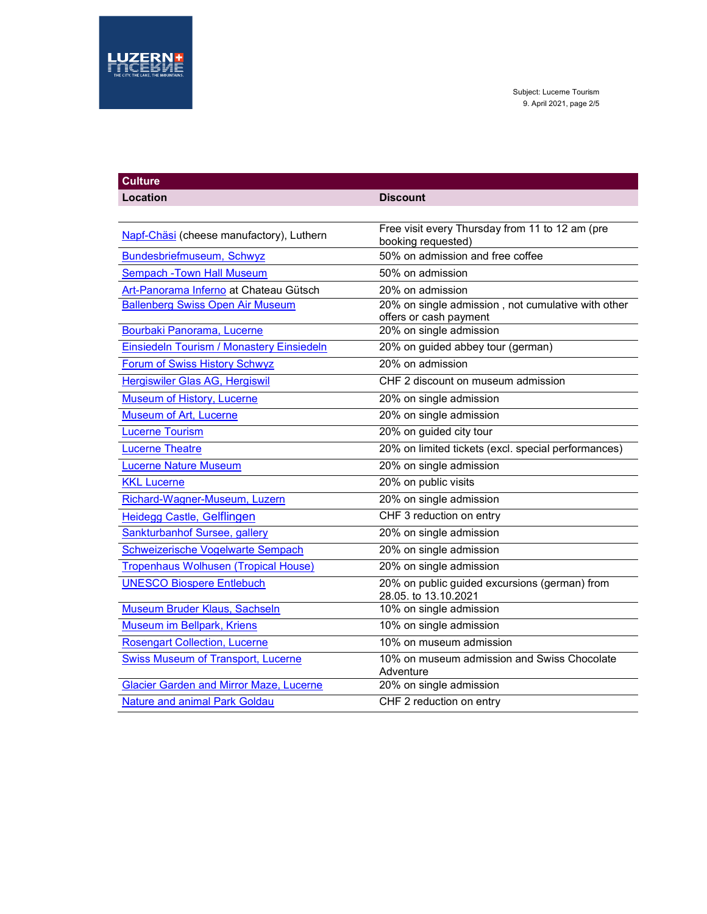

| <b>Culture</b>                                   |                                                                              |
|--------------------------------------------------|------------------------------------------------------------------------------|
| Location                                         | <b>Discount</b>                                                              |
|                                                  |                                                                              |
| Napf-Chäsi (cheese manufactory), Luthern         | Free visit every Thursday from 11 to 12 am (pre<br>booking requested)        |
| Bundesbriefmuseum, Schwyz                        | 50% on admission and free coffee                                             |
| <b>Sempach - Town Hall Museum</b>                | 50% on admission                                                             |
| Art-Panorama Inferno at Chateau Gütsch           | 20% on admission                                                             |
| <b>Ballenberg Swiss Open Air Museum</b>          | 20% on single admission, not cumulative with other<br>offers or cash payment |
| Bourbaki Panorama, Lucerne                       | 20% on single admission                                                      |
| <b>Einsiedeln Tourism / Monastery Einsiedeln</b> | 20% on guided abbey tour (german)                                            |
| <b>Forum of Swiss History Schwyz</b>             | 20% on admission                                                             |
| Hergiswiler Glas AG, Hergiswil                   | CHF 2 discount on museum admission                                           |
| Museum of History, Lucerne                       | 20% on single admission                                                      |
| Museum of Art, Lucerne                           | 20% on single admission                                                      |
| <b>Lucerne Tourism</b>                           | 20% on guided city tour                                                      |
| <b>Lucerne Theatre</b>                           | 20% on limited tickets (excl. special performances)                          |
| <b>Lucerne Nature Museum</b>                     | 20% on single admission                                                      |
| <b>KKL Lucerne</b>                               | 20% on public visits                                                         |
| Richard-Wagner-Museum, Luzern                    | 20% on single admission                                                      |
| <b>Heidegg Castle, Gelflingen</b>                | CHF 3 reduction on entry                                                     |
| <b>Sankturbanhof Sursee, gallery</b>             | 20% on single admission                                                      |
| <b>Schweizerische Vogelwarte Sempach</b>         | 20% on single admission                                                      |
| <b>Tropenhaus Wolhusen (Tropical House)</b>      | 20% on single admission                                                      |
| <b>UNESCO Biospere Entlebuch</b>                 | 20% on public guided excursions (german) from<br>28.05. to 13.10.2021        |
| <b>Museum Bruder Klaus, Sachseln</b>             | 10% on single admission                                                      |
| <b>Museum im Bellpark, Kriens</b>                | 10% on single admission                                                      |
| <b>Rosengart Collection, Lucerne</b>             | 10% on museum admission                                                      |
| <b>Swiss Museum of Transport, Lucerne</b>        | 10% on museum admission and Swiss Chocolate<br>Adventure                     |
| <b>Glacier Garden and Mirror Maze, Lucerne</b>   | 20% on single admission                                                      |
| <b>Nature and animal Park Goldau</b>             | CHF 2 reduction on entry                                                     |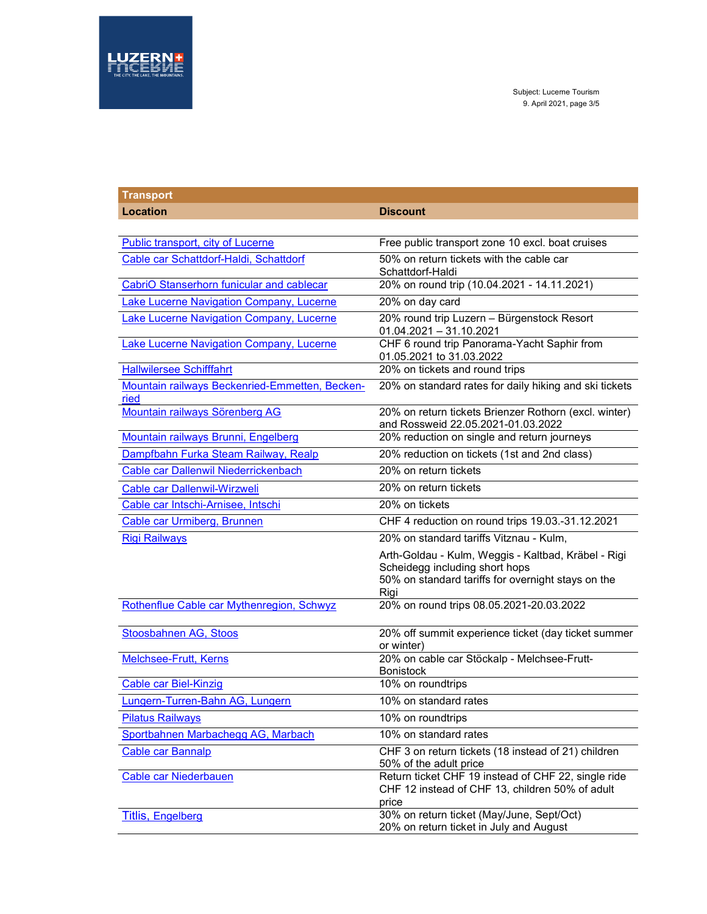

| <b>Transport</b>                                       |                                                                                                                                                     |
|--------------------------------------------------------|-----------------------------------------------------------------------------------------------------------------------------------------------------|
| <b>Location</b>                                        | <b>Discount</b>                                                                                                                                     |
|                                                        |                                                                                                                                                     |
| Public transport, city of Lucerne                      | Free public transport zone 10 excl. boat cruises                                                                                                    |
| Cable car Schattdorf-Haldi, Schattdorf                 | 50% on return tickets with the cable car<br>Schattdorf-Haldi                                                                                        |
| CabriO Stanserhorn funicular and cablecar              | 20% on round trip (10.04.2021 - 14.11.2021)                                                                                                         |
| <b>Lake Lucerne Navigation Company, Lucerne</b>        | 20% on day card                                                                                                                                     |
| <b>Lake Lucerne Navigation Company, Lucerne</b>        | 20% round trip Luzern - Bürgenstock Resort<br>$01.04.2021 - 31.10.2021$                                                                             |
| Lake Lucerne Navigation Company, Lucerne               | CHF 6 round trip Panorama-Yacht Saphir from<br>01.05.2021 to 31.03.2022                                                                             |
| <b>Hallwilersee Schifffahrt</b>                        | 20% on tickets and round trips                                                                                                                      |
| Mountain railways Beckenried-Emmetten, Becken-<br>ried | 20% on standard rates for daily hiking and ski tickets                                                                                              |
| Mountain railways Sörenberg AG                         | 20% on return tickets Brienzer Rothorn (excl. winter)<br>and Rossweid 22.05.2021-01.03.2022                                                         |
| Mountain railways Brunni, Engelberg                    | 20% reduction on single and return journeys                                                                                                         |
| Dampfbahn Furka Steam Railway, Realp                   | 20% reduction on tickets (1st and 2nd class)                                                                                                        |
| Cable car Dallenwil Niederrickenbach                   | 20% on return tickets                                                                                                                               |
| Cable car Dallenwil-Wirzweli                           | 20% on return tickets                                                                                                                               |
| Cable car Intschi-Arnisee, Intschi                     | 20% on tickets                                                                                                                                      |
| Cable car Urmiberg, Brunnen                            | CHF 4 reduction on round trips 19.03.-31.12.2021                                                                                                    |
| <b>Rigi Railways</b>                                   | 20% on standard tariffs Vitznau - Kulm,                                                                                                             |
|                                                        | Arth-Goldau - Kulm, Weggis - Kaltbad, Kräbel - Rigi<br>Scheidegg including short hops<br>50% on standard tariffs for overnight stays on the<br>Rigi |
| Rothenflue Cable car Mythenregion, Schwyz              | 20% on round trips 08.05.2021-20.03.2022                                                                                                            |
| Stoosbahnen AG, Stoos                                  | 20% off summit experience ticket (day ticket summer<br>or winter)                                                                                   |
| <b>Melchsee-Frutt, Kerns</b>                           | 20% on cable car Stöckalp - Melchsee-Frutt-<br><b>Bonistock</b>                                                                                     |
| <b>Cable car Biel-Kinzig</b>                           | 10% on roundtrips                                                                                                                                   |
| Lungern-Turren-Bahn AG, Lungern                        | 10% on standard rates                                                                                                                               |
| <b>Pilatus Railways</b>                                | 10% on roundtrips                                                                                                                                   |
| Sportbahnen Marbachegg AG, Marbach                     | 10% on standard rates                                                                                                                               |
| <b>Cable car Bannalp</b>                               | CHF 3 on return tickets (18 instead of 21) children<br>50% of the adult price                                                                       |
| <b>Cable car Niederbauen</b>                           | Return ticket CHF 19 instead of CHF 22, single ride<br>CHF 12 instead of CHF 13, children 50% of adult<br>price                                     |
| <b>Titlis, Engelberg</b>                               | 30% on return ticket (May/June, Sept/Oct)<br>20% on return ticket in July and August                                                                |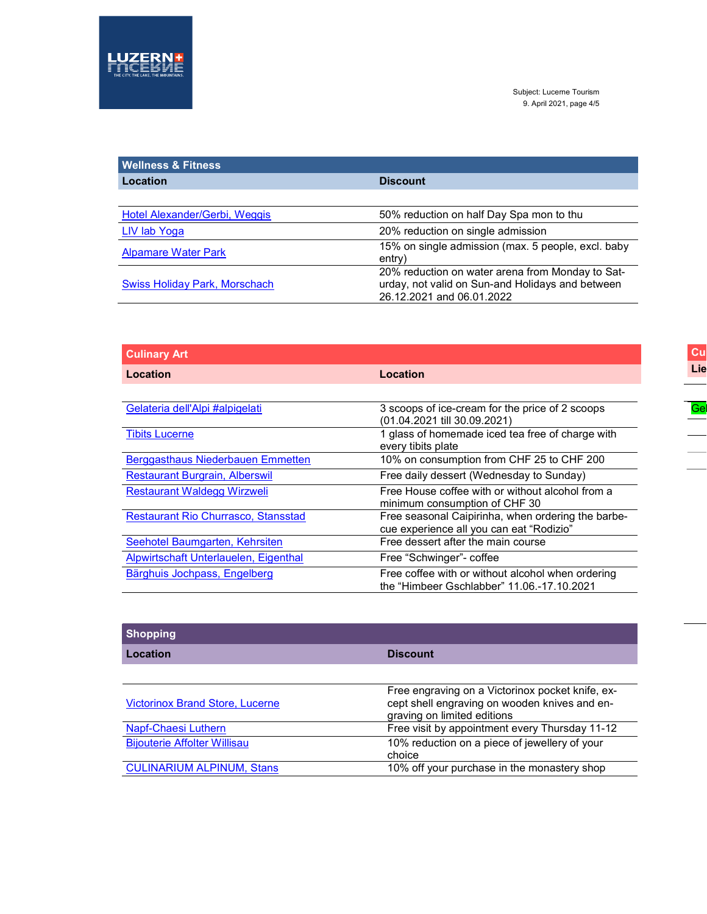

Subject: Lucerne Tourism 9. April 2021, page 4/5

| <b>Wellness &amp; Fitness</b>        |                                                                                                                                   |
|--------------------------------------|-----------------------------------------------------------------------------------------------------------------------------------|
| Location                             | <b>Discount</b>                                                                                                                   |
|                                      |                                                                                                                                   |
| Hotel Alexander/Gerbi, Weggis        | 50% reduction on half Day Spa mon to thu                                                                                          |
| LIV lab Yoga                         | 20% reduction on single admission                                                                                                 |
| <b>Alpamare Water Park</b>           | 15% on single admission (max. 5 people, excl. baby<br>entry)                                                                      |
| <b>Swiss Holiday Park, Morschach</b> | 20% reduction on water arena from Monday to Sat-<br>urday, not valid on Sun-and Holidays and between<br>26.12.2021 and 06.01.2022 |

| <b>Culinary Art</b>                        |                                                                                                 |
|--------------------------------------------|-------------------------------------------------------------------------------------------------|
| Location                                   | Location                                                                                        |
|                                            |                                                                                                 |
| Gelateria dell'Alpi #alpigelati            | 3 scoops of ice-cream for the price of 2 scoops<br>/01.04.2021 till 30.09.2021)                 |
| <b>Tibits Lucerne</b>                      | 1 glass of homemade iced tea free of charge with<br>every tibits plate                          |
| Berggasthaus Niederbauen Emmetten          | 10% on consumption from CHF 25 to CHF 200                                                       |
| <b>Restaurant Burgrain, Alberswil</b>      | Free daily dessert (Wednesday to Sunday)                                                        |
| <b>Restaurant Waldegg Wirzwell</b>         | Free House coffee with or without alcohol from a<br>minimum consumption of CHF 30               |
| <b>Restaurant Rio Churrasco, Stansstad</b> | Free seasonal Caipirinha, when ordering the barbe-<br>cue experience all you can eat "Rodizio"  |
| Seehotel Baumgarten, Kehrsiten             | Free dessert after the main course                                                              |
| Alpwirtschaft Unterlauelen, Eigenthal      | Free "Schwinger"- coffee                                                                        |
| Bärghuis Jochpass, Engelberg               | Free coffee with or without alcohol when ordering<br>the "Himbeer Gschlabber" 11.06.-17.10.2021 |

| <b>Shopping</b>                        |                                                                                                                                  |
|----------------------------------------|----------------------------------------------------------------------------------------------------------------------------------|
| Location                               | <b>Discount</b>                                                                                                                  |
|                                        |                                                                                                                                  |
| <b>Victorinox Brand Store, Lucerne</b> | Free engraving on a Victorinox pocket knife, ex-<br>cept shell engraving on wooden knives and en-<br>graving on limited editions |
| Napf-Chaesi Luthern                    | Free visit by appointment every Thursday 11-12                                                                                   |
| <b>Bijouterie Affolter Willisau</b>    | 10% reduction on a piece of jewellery of your<br>choice                                                                          |
| <b>CULINARIUM ALPINUM, Stans</b>       | 10% off your purchase in the monastery shop                                                                                      |